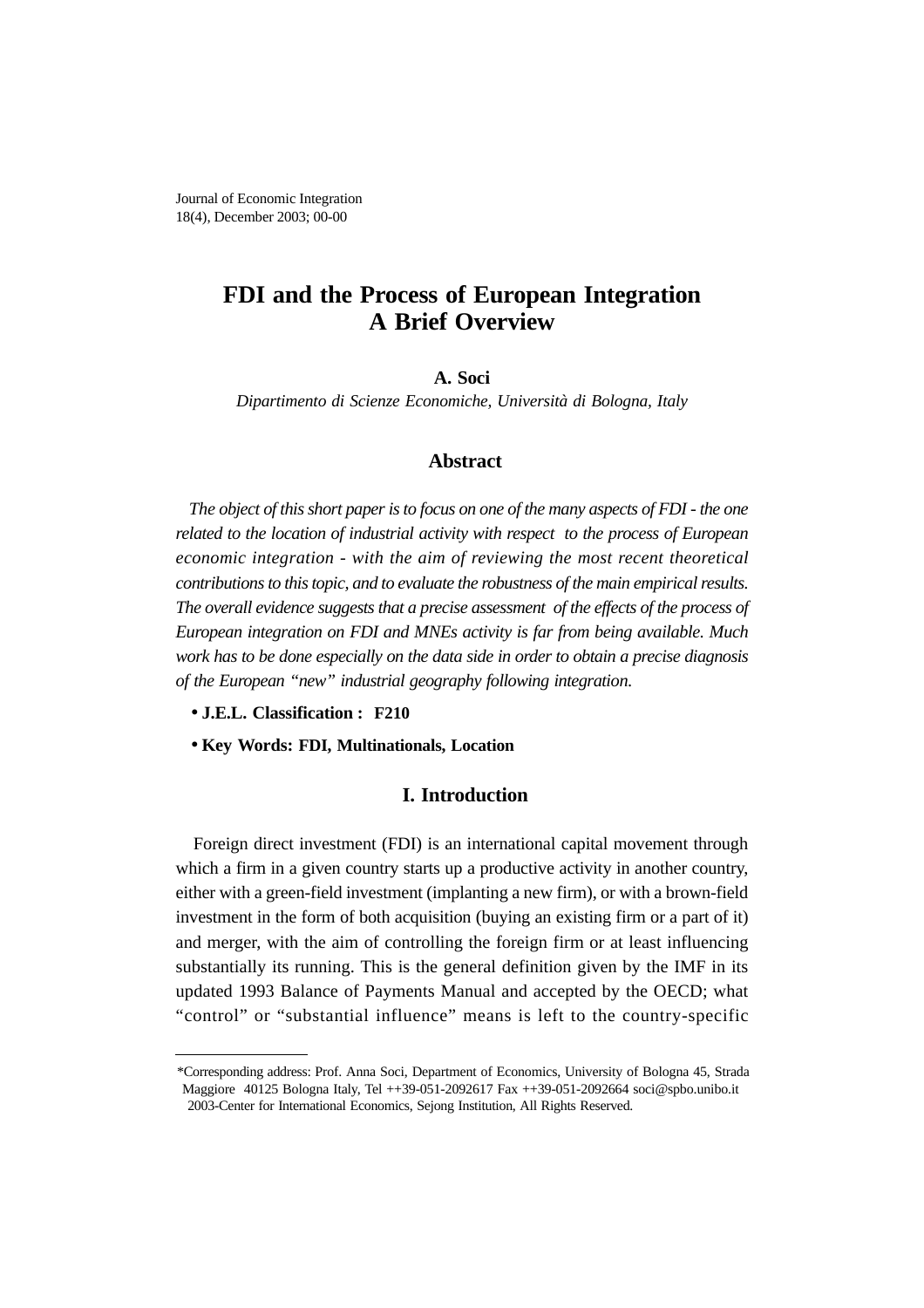# **FDI and the Process of European Integration A Brief Overview**

#### **A. Soci**

*Dipartimento di Scienze Economiche, Università di Bologna, Italy*

## **Abstract**

*The object of this short paper is to focus on one of the many aspects of FDI - the one related to the location of industrial activity with respect to the process of European economic integration - with the aim of reviewing the most recent theoretical contributions to this topic, and to evaluate the robustness of the main empirical results. The overall evidence suggests that a precise assessment of the effects of the process of European integration on FDI and MNEs activity is far from being available. Much work has to be done especially on the data side in order to obtain a precise diagnosis of the European "new" industrial geography following integration.*

- **J.E.L. Classification :****F210**
- **Key Words: FDI, Multinationals, Location**

## **I. Introduction**

Foreign direct investment (FDI) is an international capital movement through which a firm in a given country starts up a productive activity in another country, either with a green-field investment (implanting a new firm), or with a brown-field investment in the form of both acquisition (buying an existing firm or a part of it) and merger, with the aim of controlling the foreign firm or at least influencing substantially its running. This is the general definition given by the IMF in its updated 1993 Balance of Payments Manual and accepted by the OECD; what "control" or "substantial influence" means is left to the country-specific

<sup>\*</sup>Corresponding address: Prof. Anna Soci, Department of Economics, University of Bologna 45, Strada Maggiore 40125 Bologna Italy, Tel ++39-051-2092617 Fax ++39-051-2092664 soci@spbo.unibo.it 2003-Center for International Economics, Sejong Institution, All Rights Reserved.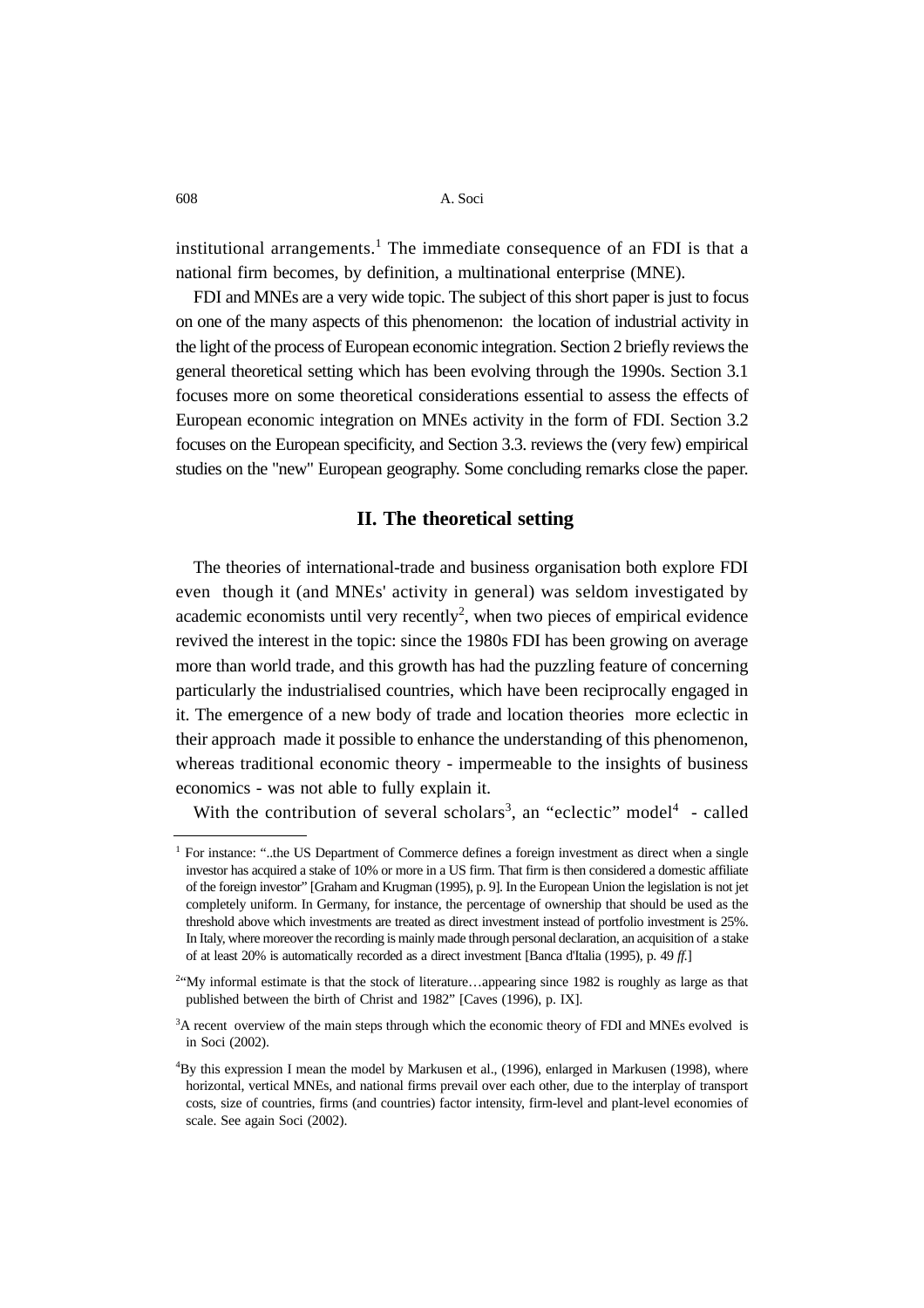institutional arrangements.<sup>1</sup> The immediate consequence of an FDI is that a national firm becomes, by definition, a multinational enterprise (MNE).

FDI and MNEs are a very wide topic. The subject of this short paper is just to focus on one of the many aspects of this phenomenon: the location of industrial activity in the light of the process of European economic integration. Section 2 briefly reviews the general theoretical setting which has been evolving through the 1990s. Section 3.1 focuses more on some theoretical considerations essential to assess the effects of European economic integration on MNEs activity in the form of FDI. Section 3.2 focuses on the European specificity, and Section 3.3. reviews the (very few) empirical studies on the "new" European geography. Some concluding remarks close the paper.

# **II. The theoretical setting**

The theories of international-trade and business organisation both explore FDI even though it (and MNEs' activity in general) was seldom investigated by academic economists until very recently<sup>2</sup>, when two pieces of empirical evidence revived the interest in the topic: since the 1980s FDI has been growing on average more than world trade, and this growth has had the puzzling feature of concerning particularly the industrialised countries, which have been reciprocally engaged in it. The emergence of a new body of trade and location theories more eclectic in their approach made it possible to enhance the understanding of this phenomenon, whereas traditional economic theory - impermeable to the insights of business economics - was not able to fully explain it.

With the contribution of several scholars<sup>3</sup>, an "eclectic" model<sup>4</sup> - called

<sup>1</sup> For instance: "..the US Department of Commerce defines a foreign investment as direct when a single investor has acquired a stake of 10% or more in a US firm. That firm is then considered a domestic affiliate of the foreign investor" [Graham and Krugman (1995), p. 9]. In the European Union the legislation is not jet completely uniform. In Germany, for instance, the percentage of ownership that should be used as the threshold above which investments are treated as direct investment instead of portfolio investment is 25%. In Italy, where moreover the recording is mainly made through personal declaration, an acquisition of a stake of at least 20% is automatically recorded as a direct investment [Banca d'Italia (1995), p. 49 *ff.*]

<sup>&</sup>lt;sup>2</sup> My informal estimate is that the stock of literature...appearing since 1982 is roughly as large as that published between the birth of Christ and 1982" [Caves (1996), p. IX].

<sup>&</sup>lt;sup>3</sup>A recent overview of the main steps through which the economic theory of FDI and MNEs evolved is in Soci (2002).

<sup>4</sup> By this expression I mean the model by Markusen et al., (1996), enlarged in Markusen (1998), where horizontal, vertical MNEs, and national firms prevail over each other, due to the interplay of transport costs, size of countries, firms (and countries) factor intensity, firm-level and plant-level economies of scale. See again Soci (2002).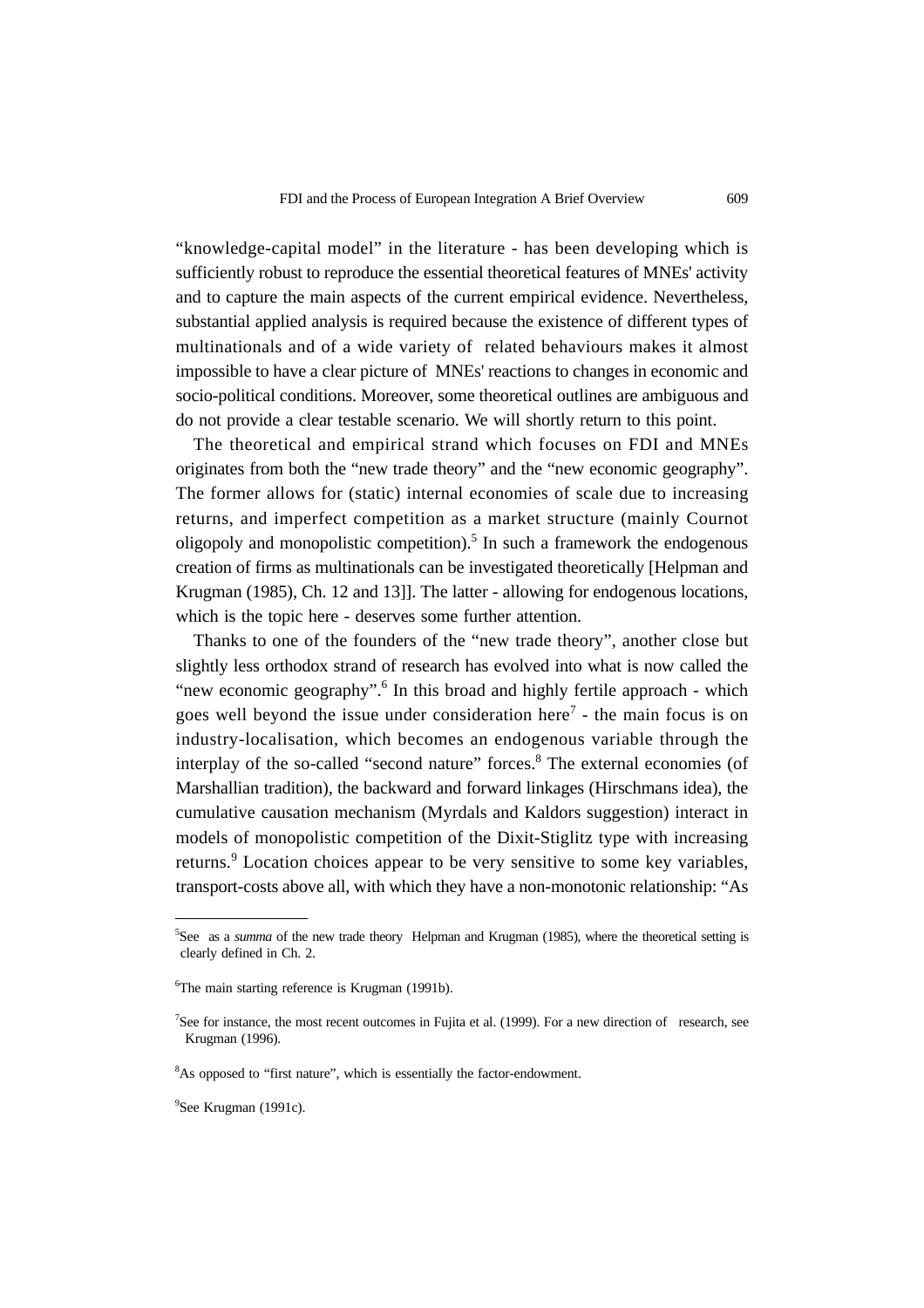"knowledge-capital model" in the literature - has been developing which is sufficiently robust to reproduce the essential theoretical features of MNEs' activity and to capture the main aspects of the current empirical evidence. Nevertheless, substantial applied analysis is required because the existence of different types of multinationals and of a wide variety of related behaviours makes it almost impossible to have a clear picture of MNEs' reactions to changes in economic and socio-political conditions. Moreover, some theoretical outlines are ambiguous and do not provide a clear testable scenario. We will shortly return to this point.

The theoretical and empirical strand which focuses on FDI and MNEs originates from both the "new trade theory" and the "new economic geography". The former allows for (static) internal economies of scale due to increasing returns, and imperfect competition as a market structure (mainly Cournot oligopoly and monopolistic competition).<sup>5</sup> In such a framework the endogenous creation of firms as multinationals can be investigated theoretically [Helpman and Krugman (1985), Ch. 12 and 13]]. The latter - allowing for endogenous locations, which is the topic here - deserves some further attention.

Thanks to one of the founders of the "new trade theory", another close but slightly less orthodox strand of research has evolved into what is now called the "new economic geography".<sup>6</sup> In this broad and highly fertile approach - which goes well beyond the issue under consideration here<sup>7</sup> - the main focus is on industry-localisation, which becomes an endogenous variable through the interplay of the so-called "second nature" forces.<sup>8</sup> The external economies (of Marshallian tradition), the backward and forward linkages (Hirschmans idea), the cumulative causation mechanism (Myrdals and Kaldors suggestion) interact in models of monopolistic competition of the Dixit-Stiglitz type with increasing returns.<sup>9</sup> Location choices appear to be very sensitive to some key variables, transport-costs above all, with which they have a non-monotonic relationship: "As

<sup>9</sup>See Krugman (1991c).

<sup>5</sup> See as a *summa* of the new trade theory Helpman and Krugman (1985), where the theoretical setting is clearly defined in Ch. 2.

<sup>6</sup> The main starting reference is Krugman (1991b).

<sup>&</sup>lt;sup>7</sup>See for instance, the most recent outcomes in Fujita et al. (1999). For a new direction of research, see Krugman (1996).

<sup>&</sup>lt;sup>8</sup>As opposed to "first nature", which is essentially the factor-endowment.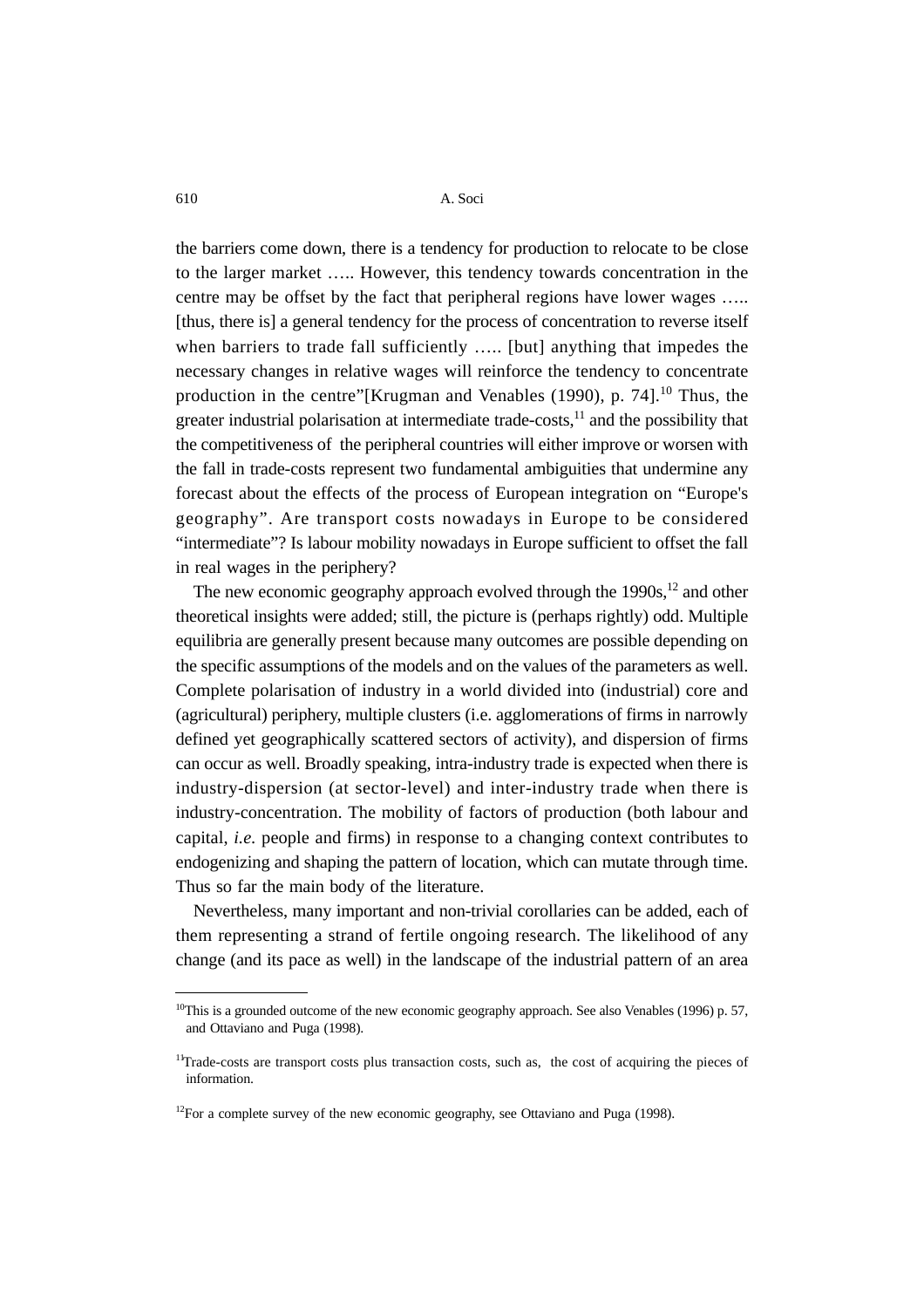the barriers come down, there is a tendency for production to relocate to be close to the larger market ….. However, this tendency towards concentration in the centre may be offset by the fact that peripheral regions have lower wages ….. [thus, there is] a general tendency for the process of concentration to reverse itself when barriers to trade fall sufficiently ..... [but] anything that impedes the necessary changes in relative wages will reinforce the tendency to concentrate production in the centre"[Krugman and Venables  $(1990)$ , p. 74].<sup>10</sup> Thus, the greater industrial polarisation at intermediate trade-costs, $^{11}$  and the possibility that the competitiveness of the peripheral countries will either improve or worsen with the fall in trade-costs represent two fundamental ambiguities that undermine any forecast about the effects of the process of European integration on "Europe's geography". Are transport costs nowadays in Europe to be considered "intermediate"? Is labour mobility nowadays in Europe sufficient to offset the fall in real wages in the periphery?

The new economic geography approach evolved through the  $1990s$ ,<sup>12</sup> and other theoretical insights were added; still, the picture is (perhaps rightly) odd. Multiple equilibria are generally present because many outcomes are possible depending on the specific assumptions of the models and on the values of the parameters as well. Complete polarisation of industry in a world divided into (industrial) core and (agricultural) periphery, multiple clusters (i.e. agglomerations of firms in narrowly defined yet geographically scattered sectors of activity), and dispersion of firms can occur as well. Broadly speaking, intra-industry trade is expected when there is industry-dispersion (at sector-level) and inter-industry trade when there is industry-concentration. The mobility of factors of production (both labour and capital, *i.e.* people and firms) in response to a changing context contributes to endogenizing and shaping the pattern of location, which can mutate through time. Thus so far the main body of the literature.

Nevertheless, many important and non-trivial corollaries can be added, each of them representing a strand of fertile ongoing research. The likelihood of any change (and its pace as well) in the landscape of the industrial pattern of an area

 $10$ This is a grounded outcome of the new economic geography approach. See also Venables (1996) p. 57, and Ottaviano and Puga (1998).

<sup>&</sup>lt;sup>11</sup>Trade-costs are transport costs plus transaction costs, such as, the cost of acquiring the pieces of information.

 $12$ For a complete survey of the new economic geography, see Ottaviano and Puga (1998).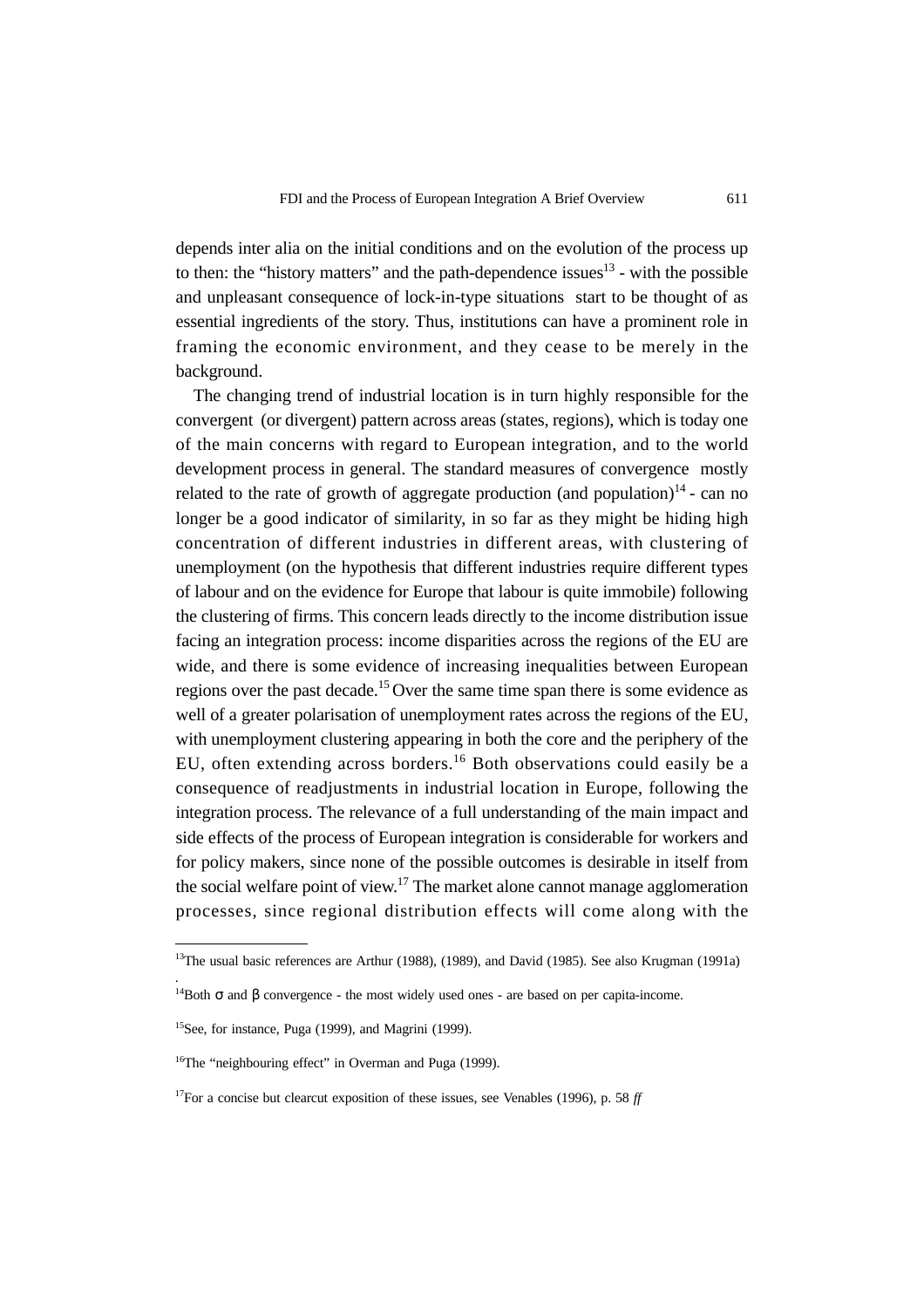depends inter alia on the initial conditions and on the evolution of the process up to then: the "history matters" and the path-dependence issues $13$  - with the possible and unpleasant consequence of lock-in-type situations start to be thought of as essential ingredients of the story. Thus, institutions can have a prominent role in framing the economic environment, and they cease to be merely in the background.

The changing trend of industrial location is in turn highly responsible for the convergent (or divergent) pattern across areas (states, regions), which is today one of the main concerns with regard to European integration, and to the world development process in general. The standard measures of convergence mostly related to the rate of growth of aggregate production (and population)<sup>14</sup> - can no longer be a good indicator of similarity, in so far as they might be hiding high concentration of different industries in different areas, with clustering of unemployment (on the hypothesis that different industries require different types of labour and on the evidence for Europe that labour is quite immobile) following the clustering of firms. This concern leads directly to the income distribution issue facing an integration process: income disparities across the regions of the EU are wide, and there is some evidence of increasing inequalities between European regions over the past decade.15 Over the same time span there is some evidence as well of a greater polarisation of unemployment rates across the regions of the EU, with unemployment clustering appearing in both the core and the periphery of the EU, often extending across borders.16 Both observations could easily be a consequence of readjustments in industrial location in Europe, following the integration process. The relevance of a full understanding of the main impact and side effects of the process of European integration is considerable for workers and for policy makers, since none of the possible outcomes is desirable in itself from the social welfare point of view.<sup>17</sup> The market alone cannot manage agglomeration processes, since regional distribution effects will come along with the

.

<sup>&</sup>lt;sup>13</sup>The usual basic references are Arthur (1988), (1989), and David (1985). See also Krugman (1991a)

<sup>&</sup>lt;sup>14</sup>Both σ and β convergence - the most widely used ones - are based on per capita-income.

 $15$ See, for instance, Puga (1999), and Magrini (1999).

<sup>&</sup>lt;sup>16</sup>The "neighbouring effect" in Overman and Puga (1999).

<sup>&</sup>lt;sup>17</sup>For a concise but clearcut exposition of these issues, see Venables (1996), p. 58  $ff$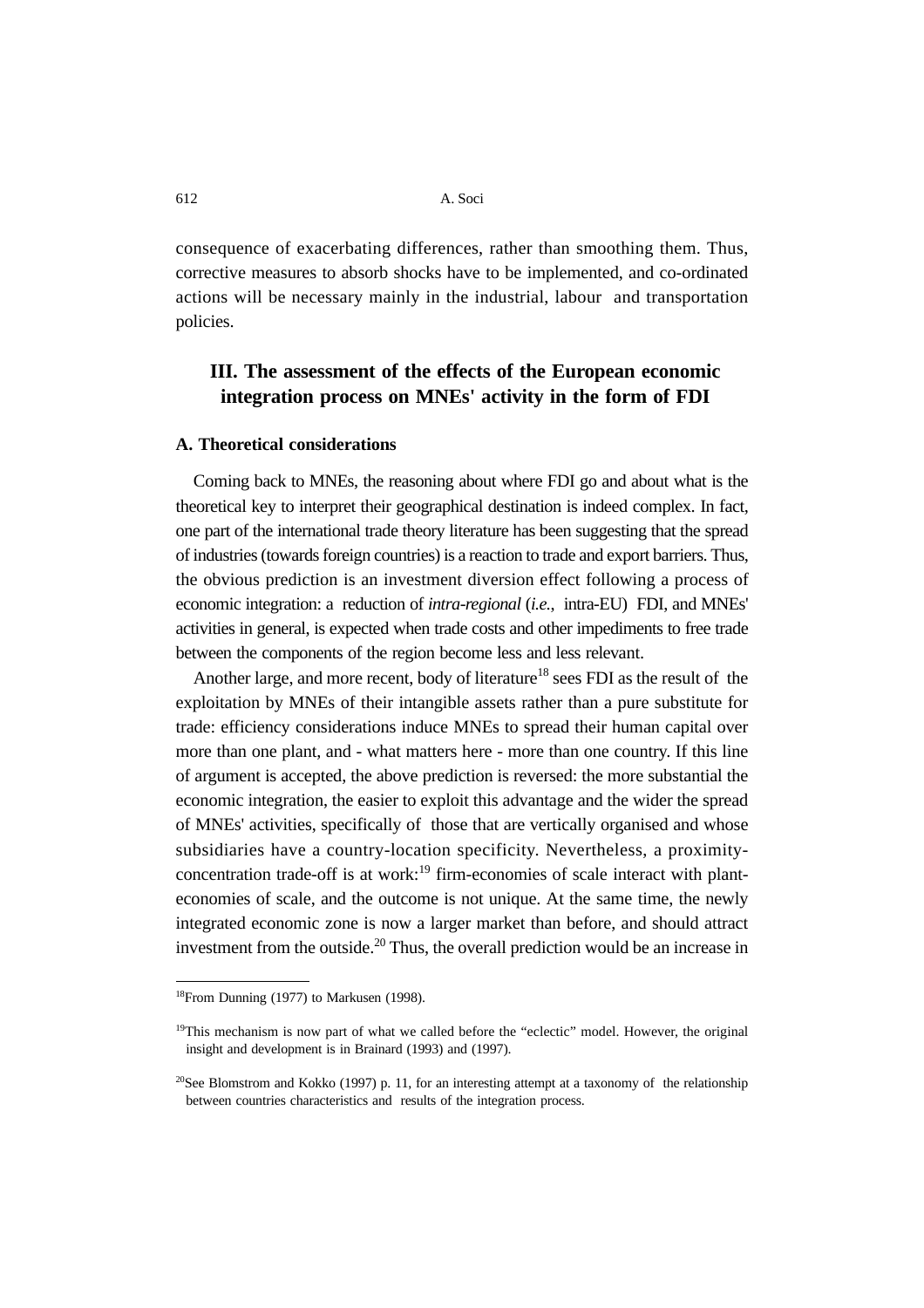consequence of exacerbating differences, rather than smoothing them. Thus, corrective measures to absorb shocks have to be implemented, and co-ordinated actions will be necessary mainly in the industrial, labour and transportation policies.

# **III. The assessment of the effects of the European economic integration process on MNEs' activity in the form of FDI**

### **A. Theoretical considerations**

Coming back to MNEs, the reasoning about where FDI go and about what is the theoretical key to interpret their geographical destination is indeed complex. In fact, one part of the international trade theory literature has been suggesting that the spread of industries (towards foreign countries) is a reaction to trade and export barriers. Thus, the obvious prediction is an investment diversion effect following a process of economic integration: a reduction of *intra-regional* (*i.e.*, intra-EU) FDI, and MNEs' activities in general, is expected when trade costs and other impediments to free trade between the components of the region become less and less relevant.

Another large, and more recent, body of literature<sup>18</sup> sees FDI as the result of the exploitation by MNEs of their intangible assets rather than a pure substitute for trade: efficiency considerations induce MNEs to spread their human capital over more than one plant, and - what matters here - more than one country. If this line of argument is accepted, the above prediction is reversed: the more substantial the economic integration, the easier to exploit this advantage and the wider the spread of MNEs' activities, specifically of those that are vertically organised and whose subsidiaries have a country-location specificity. Nevertheless, a proximityconcentration trade-off is at work:<sup>19</sup> firm-economies of scale interact with planteconomies of scale, and the outcome is not unique. At the same time, the newly integrated economic zone is now a larger market than before, and should attract investment from the outside.<sup>20</sup> Thus, the overall prediction would be an increase in

 $18$ From Dunning (1977) to Markusen (1998).

 $19$ This mechanism is now part of what we called before the "eclectic" model. However, the original insight and development is in Brainard (1993) and (1997).

<sup>&</sup>lt;sup>20</sup>See Blomstrom and Kokko (1997) p. 11, for an interesting attempt at a taxonomy of the relationship between countries characteristics and results of the integration process.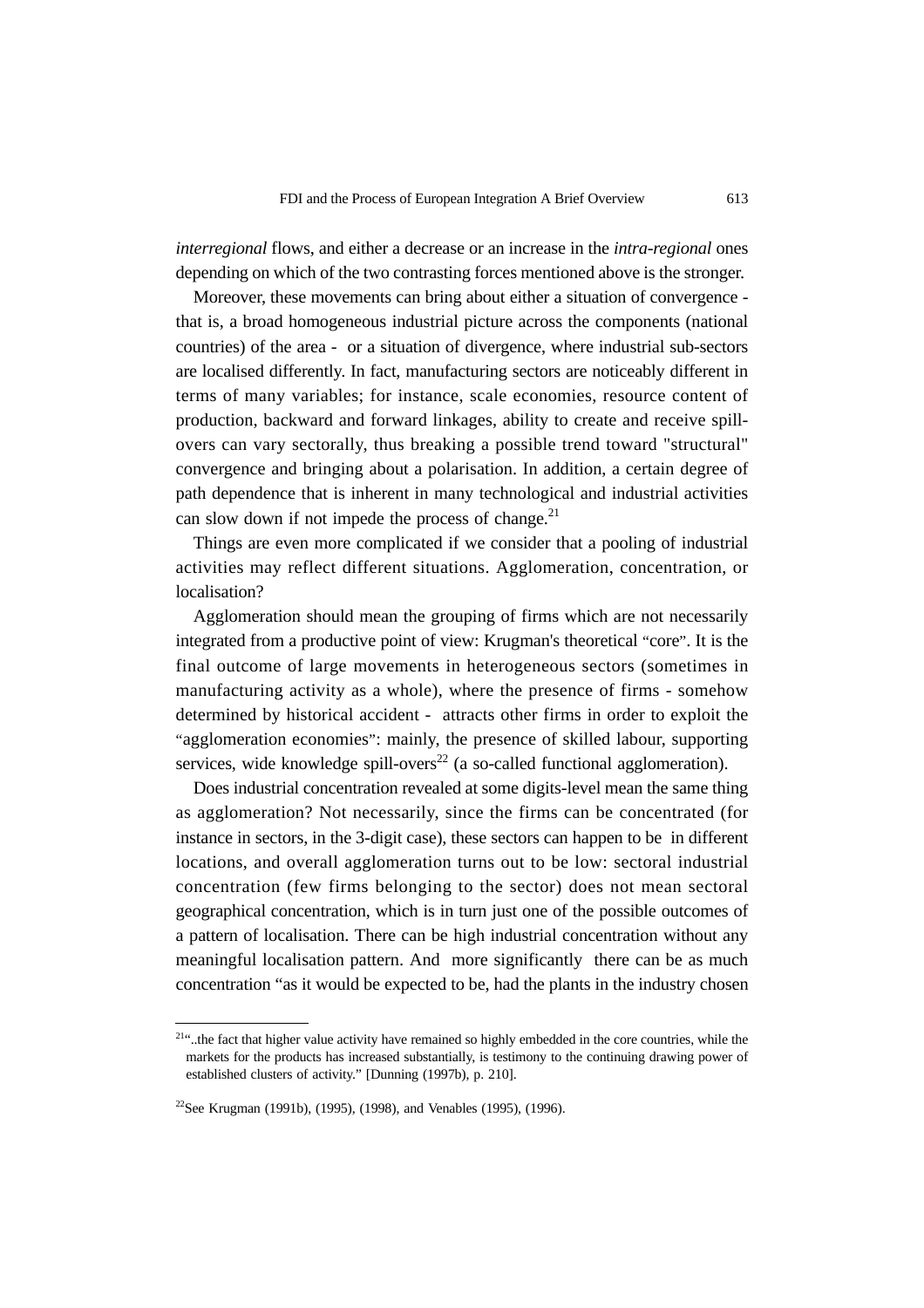*interregional* flows, and either a decrease or an increase in the *intra-regional* ones depending on which of the two contrasting forces mentioned above is the stronger.

Moreover, these movements can bring about either a situation of convergence that is, a broad homogeneous industrial picture across the components (national countries) of the area - or a situation of divergence, where industrial sub-sectors are localised differently. In fact, manufacturing sectors are noticeably different in terms of many variables; for instance, scale economies, resource content of production, backward and forward linkages, ability to create and receive spillovers can vary sectorally, thus breaking a possible trend toward "structural" convergence and bringing about a polarisation. In addition, a certain degree of path dependence that is inherent in many technological and industrial activities can slow down if not impede the process of change. $21$ 

Things are even more complicated if we consider that a pooling of industrial activities may reflect different situations. Agglomeration, concentration, or localisation?

Agglomeration should mean the grouping of firms which are not necessarily integrated from a productive point of view: Krugman's theoretical "core". It is the final outcome of large movements in heterogeneous sectors (sometimes in manufacturing activity as a whole), where the presence of firms - somehow determined by historical accident - attracts other firms in order to exploit the "agglomeration economies": mainly, the presence of skilled labour, supporting services, wide knowledge spill-overs<sup>22</sup> (a so-called functional agglomeration).

Does industrial concentration revealed at some digits-level mean the same thing as agglomeration? Not necessarily, since the firms can be concentrated (for instance in sectors, in the 3-digit case), these sectors can happen to be in different locations, and overall agglomeration turns out to be low: sectoral industrial concentration (few firms belonging to the sector) does not mean sectoral geographical concentration, which is in turn just one of the possible outcomes of a pattern of localisation. There can be high industrial concentration without any meaningful localisation pattern. And more significantly there can be as much concentration "as it would be expected to be, had the plants in the industry chosen

 $21$ "..the fact that higher value activity have remained so highly embedded in the core countries, while the markets for the products has increased substantially, is testimony to the continuing drawing power of established clusters of activity." [Dunning (1997b), p. 210].

<sup>22</sup>See Krugman (1991b), (1995), (1998), and Venables (1995), (1996).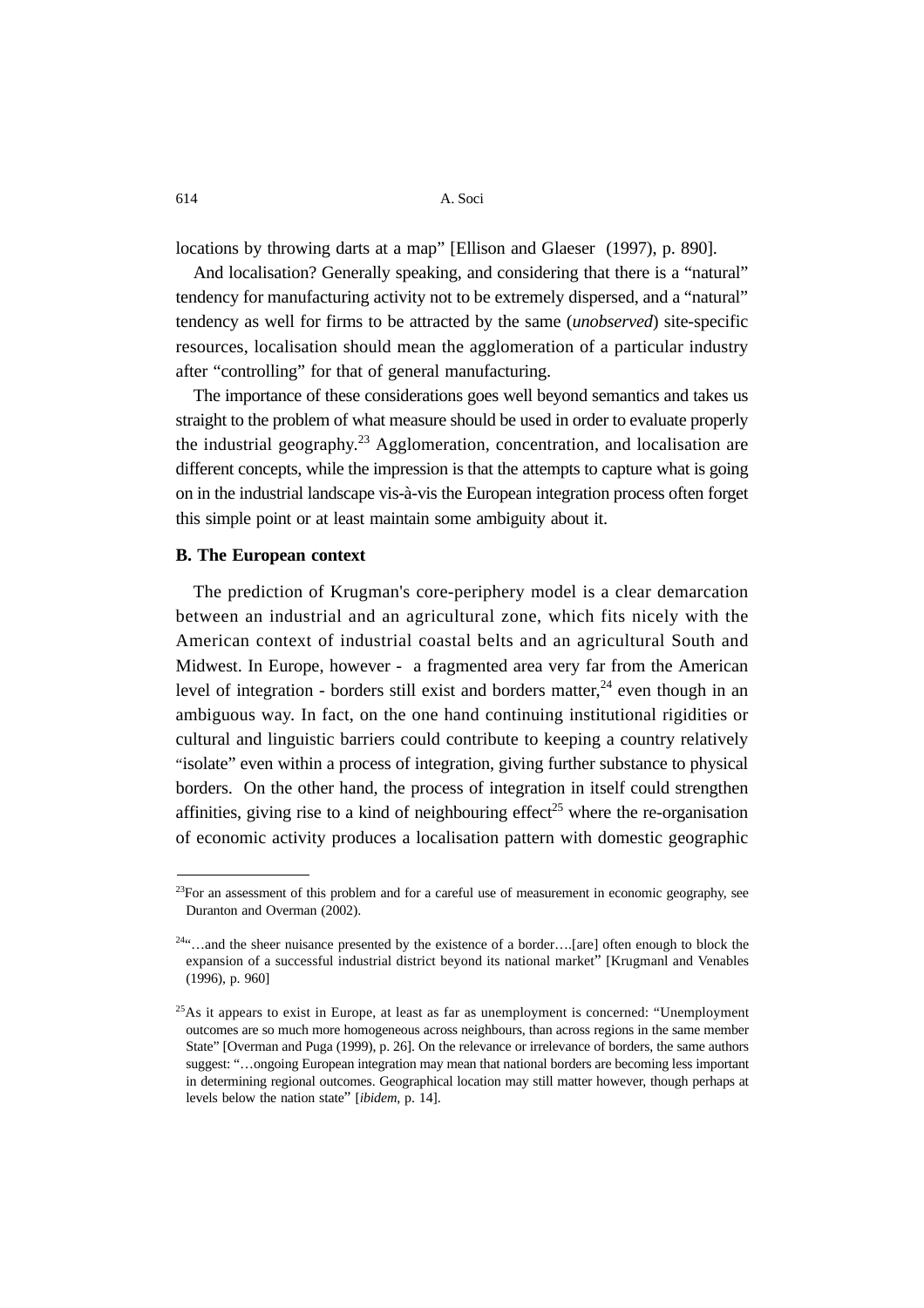locations by throwing darts at a map" [Ellison and Glaeser (1997), p. 890].

And localisation? Generally speaking, and considering that there is a "natural" tendency for manufacturing activity not to be extremely dispersed, and a "natural" tendency as well for firms to be attracted by the same (*unobserved*) site-specific resources, localisation should mean the agglomeration of a particular industry after "controlling" for that of general manufacturing.

The importance of these considerations goes well beyond semantics and takes us straight to the problem of what measure should be used in order to evaluate properly the industrial geography.<sup>23</sup> Agglomeration, concentration, and localisation are different concepts, while the impression is that the attempts to capture what is going on in the industrial landscape vis-à-vis the European integration process often forget this simple point or at least maintain some ambiguity about it.

#### **B. The European context**

The prediction of Krugman's core-periphery model is a clear demarcation between an industrial and an agricultural zone, which fits nicely with the American context of industrial coastal belts and an agricultural South and Midwest. In Europe, however - a fragmented area very far from the American level of integration - borders still exist and borders matter, $^{24}$  even though in an ambiguous way. In fact, on the one hand continuing institutional rigidities or cultural and linguistic barriers could contribute to keeping a country relatively "isolate" even within a process of integration, giving further substance to physical borders. On the other hand, the process of integration in itself could strengthen affinities, giving rise to a kind of neighbouring effect<sup>25</sup> where the re-organisation of economic activity produces a localisation pattern with domestic geographic

 $23$ For an assessment of this problem and for a careful use of measurement in economic geography, see Duranton and Overman (2002).

<sup>&</sup>lt;sup>24"</sup>…and the sheer nuisance presented by the existence of a border….[are] often enough to block the expansion of a successful industrial district beyond its national market" [Krugmanl and Venables (1996), p. 960]

 $25As$  it appears to exist in Europe, at least as far as unemployment is concerned: "Unemployment" outcomes are so much more homogeneous across neighbours, than across regions in the same member State" [Overman and Puga (1999), p. 26]. On the relevance or irrelevance of borders, the same authors suggest: "…ongoing European integration may mean that national borders are becoming less important in determining regional outcomes. Geographical location may still matter however, though perhaps at levels below the nation state" [*ibidem*, p. 14].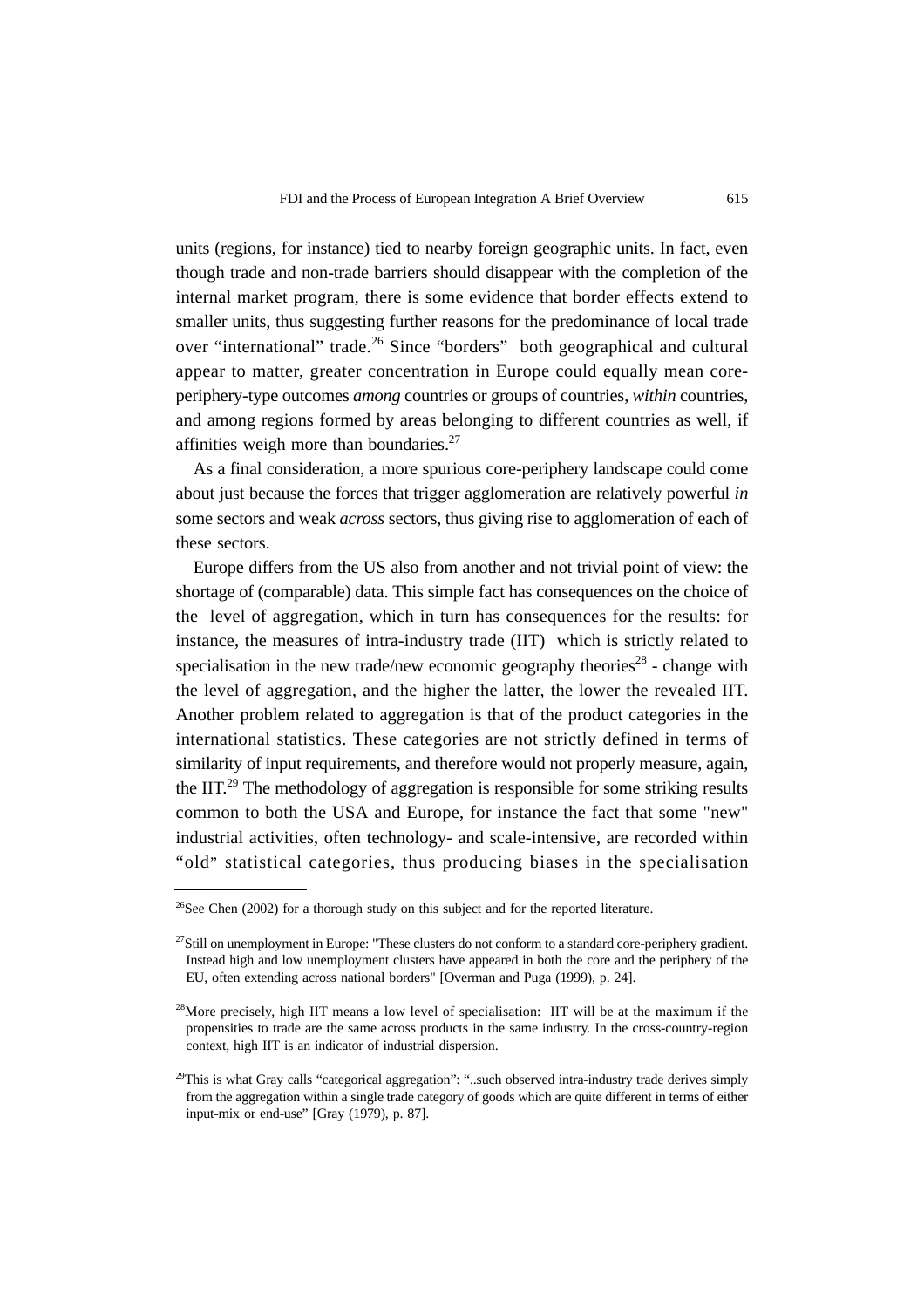units (regions, for instance) tied to nearby foreign geographic units. In fact, even though trade and non-trade barriers should disappear with the completion of the internal market program, there is some evidence that border effects extend to smaller units, thus suggesting further reasons for the predominance of local trade over "international" trade.<sup>26</sup> Since "borders" both geographical and cultural appear to matter, greater concentration in Europe could equally mean coreperiphery-type outcomes *among* countries or groups of countries, *within* countries, and among regions formed by areas belonging to different countries as well, if affinities weigh more than boundaries.<sup>27</sup>

As a final consideration, a more spurious core-periphery landscape could come about just because the forces that trigger agglomeration are relatively powerful *in* some sectors and weak *across* sectors, thus giving rise to agglomeration of each of these sectors.

Europe differs from the US also from another and not trivial point of view: the shortage of (comparable) data. This simple fact has consequences on the choice of the level of aggregation, which in turn has consequences for the results: for instance, the measures of intra-industry trade (IIT) which is strictly related to specialisation in the new trade/new economic geography theories<sup>28</sup> - change with the level of aggregation, and the higher the latter, the lower the revealed IIT. Another problem related to aggregation is that of the product categories in the international statistics. These categories are not strictly defined in terms of similarity of input requirements, and therefore would not properly measure, again, the IIT.<sup>29</sup> The methodology of aggregation is responsible for some striking results common to both the USA and Europe, for instance the fact that some "new" industrial activities, often technology- and scale-intensive, are recorded within "old" statistical categories, thus producing biases in the specialisation

 $26$ See Chen (2002) for a thorough study on this subject and for the reported literature.

 $27$ Still on unemployment in Europe: "These clusters do not conform to a standard core-periphery gradient. Instead high and low unemployment clusters have appeared in both the core and the periphery of the EU, often extending across national borders" [Overman and Puga (1999), p. 24].

<sup>&</sup>lt;sup>28</sup>More precisely, high IIT means a low level of specialisation: IIT will be at the maximum if the propensities to trade are the same across products in the same industry. In the cross-country-region context, high IIT is an indicator of industrial dispersion.

 $29$ This is what Gray calls "categorical aggregation": "..such observed intra-industry trade derives simply from the aggregation within a single trade category of goods which are quite different in terms of either input-mix or end-use" [Gray (1979), p. 87].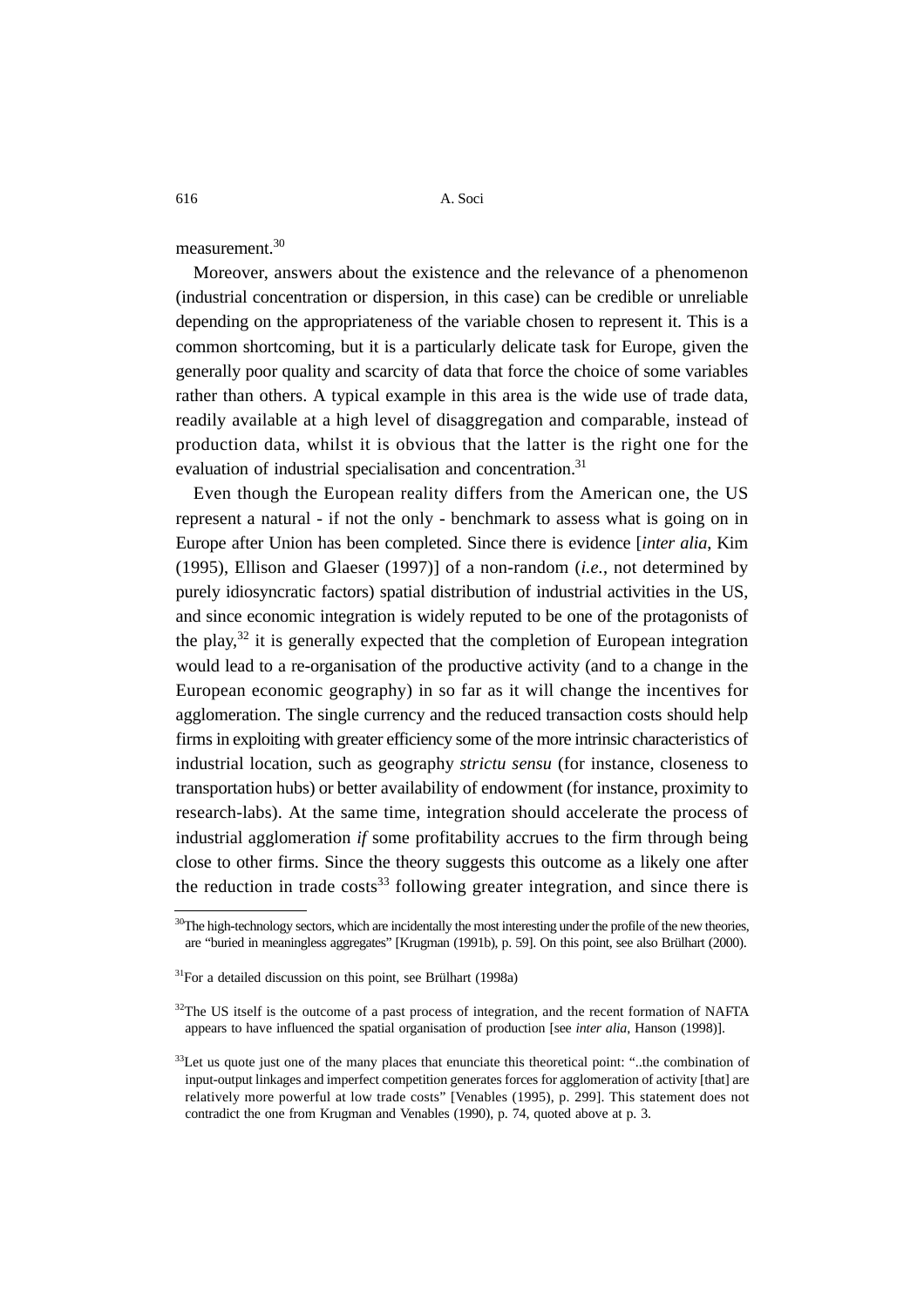measurement.30

Moreover, answers about the existence and the relevance of a phenomenon (industrial concentration or dispersion, in this case) can be credible or unreliable depending on the appropriateness of the variable chosen to represent it. This is a common shortcoming, but it is a particularly delicate task for Europe, given the generally poor quality and scarcity of data that force the choice of some variables rather than others. A typical example in this area is the wide use of trade data, readily available at a high level of disaggregation and comparable, instead of production data, whilst it is obvious that the latter is the right one for the evaluation of industrial specialisation and concentration.<sup>31</sup>

Even though the European reality differs from the American one, the US represent a natural - if not the only - benchmark to assess what is going on in Europe after Union has been completed. Since there is evidence [*inter alia*, Kim (1995), Ellison and Glaeser (1997)] of a non-random (*i.e.*, not determined by purely idiosyncratic factors) spatial distribution of industrial activities in the US, and since economic integration is widely reputed to be one of the protagonists of the play, $32$  it is generally expected that the completion of European integration would lead to a re-organisation of the productive activity (and to a change in the European economic geography) in so far as it will change the incentives for agglomeration. The single currency and the reduced transaction costs should help firms in exploiting with greater efficiency some of the more intrinsic characteristics of industrial location, such as geography *strictu sensu* (for instance, closeness to transportation hubs) or better availability of endowment (for instance, proximity to research-labs). At the same time, integration should accelerate the process of industrial agglomeration *if* some profitability accrues to the firm through being close to other firms. Since the theory suggests this outcome as a likely one after the reduction in trade  $costs<sup>33</sup>$  following greater integration, and since there is

 $30$ The high-technology sectors, which are incidentally the most interesting under the profile of the new theories, are "buried in meaningless aggregates" [Krugman (1991b), p. 59]. On this point, see also Brülhart (2000).

 $31$ For a detailed discussion on this point, see Brülhart (1998a)

<sup>&</sup>lt;sup>32</sup>The US itself is the outcome of a past process of integration, and the recent formation of NAFTA appears to have influenced the spatial organisation of production [see *inter alia*, Hanson (1998)].

<sup>&</sup>lt;sup>33</sup>Let us quote just one of the many places that enunciate this theoretical point: "..the combination of input-output linkages and imperfect competition generates forces for agglomeration of activity [that] are relatively more powerful at low trade costs" [Venables (1995), p. 299]. This statement does not contradict the one from Krugman and Venables (1990), p. 74, quoted above at p. 3.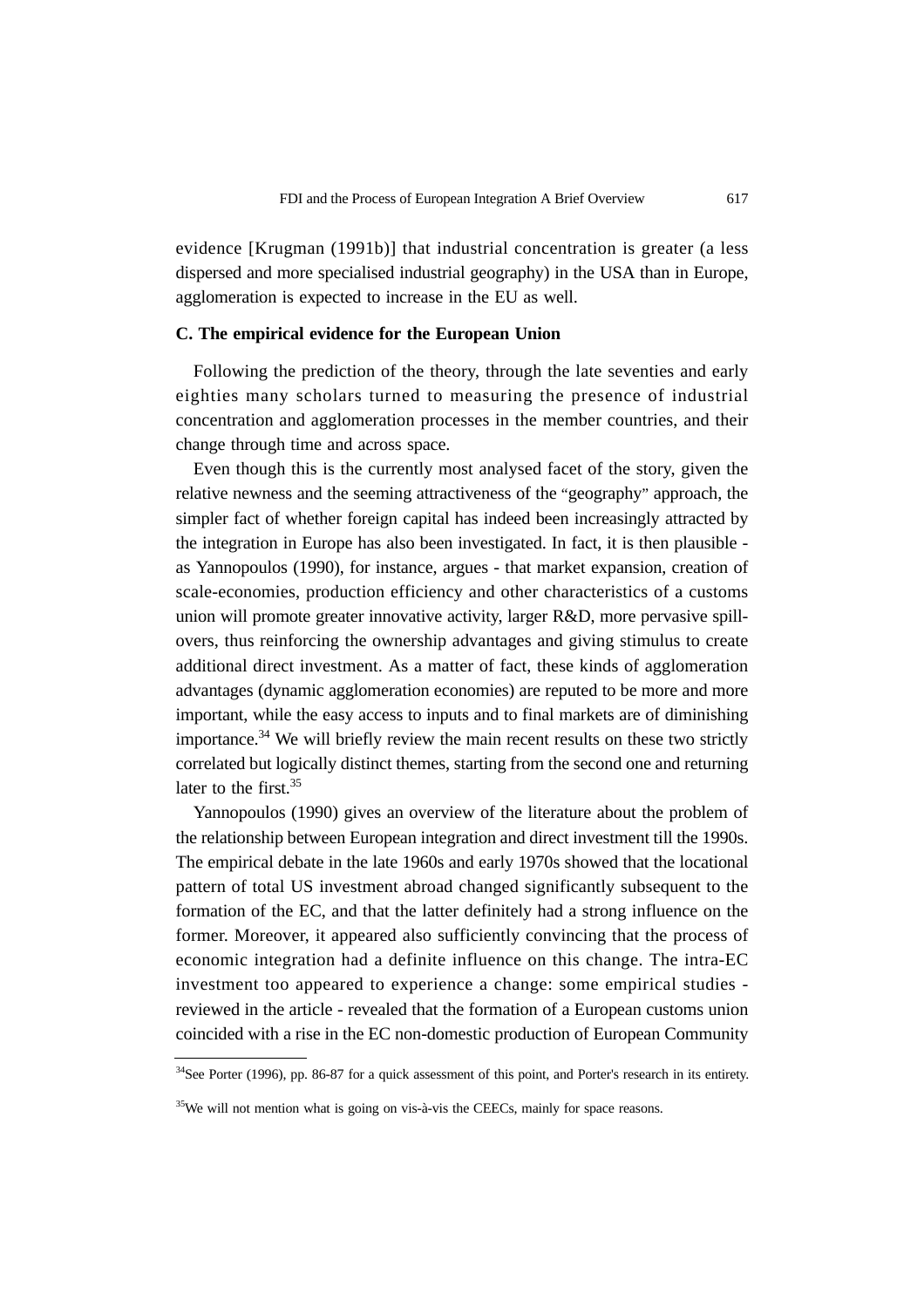evidence [Krugman (1991b)] that industrial concentration is greater (a less dispersed and more specialised industrial geography) in the USA than in Europe, agglomeration is expected to increase in the EU as well.

#### **C. The empirical evidence for the European Union**

Following the prediction of the theory, through the late seventies and early eighties many scholars turned to measuring the presence of industrial concentration and agglomeration processes in the member countries, and their change through time and across space.

Even though this is the currently most analysed facet of the story, given the relative newness and the seeming attractiveness of the "geography" approach, the simpler fact of whether foreign capital has indeed been increasingly attracted by the integration in Europe has also been investigated. In fact, it is then plausible as Yannopoulos (1990), for instance, argues - that market expansion, creation of scale-economies, production efficiency and other characteristics of a customs union will promote greater innovative activity, larger R&D, more pervasive spillovers, thus reinforcing the ownership advantages and giving stimulus to create additional direct investment. As a matter of fact, these kinds of agglomeration advantages (dynamic agglomeration economies) are reputed to be more and more important, while the easy access to inputs and to final markets are of diminishing importance.<sup>34</sup> We will briefly review the main recent results on these two strictly correlated but logically distinct themes, starting from the second one and returning later to the first.<sup>35</sup>

Yannopoulos (1990) gives an overview of the literature about the problem of the relationship between European integration and direct investment till the 1990s. The empirical debate in the late 1960s and early 1970s showed that the locational pattern of total US investment abroad changed significantly subsequent to the formation of the EC, and that the latter definitely had a strong influence on the former. Moreover, it appeared also sufficiently convincing that the process of economic integration had a definite influence on this change. The intra-EC investment too appeared to experience a change: some empirical studies reviewed in the article - revealed that the formation of a European customs union coincided with a rise in the EC non-domestic production of European Community

 $34$ See Porter (1996), pp. 86-87 for a quick assessment of this point, and Porter's research in its entirety.

<sup>&</sup>lt;sup>35</sup>We will not mention what is going on vis-à-vis the CEECs, mainly for space reasons.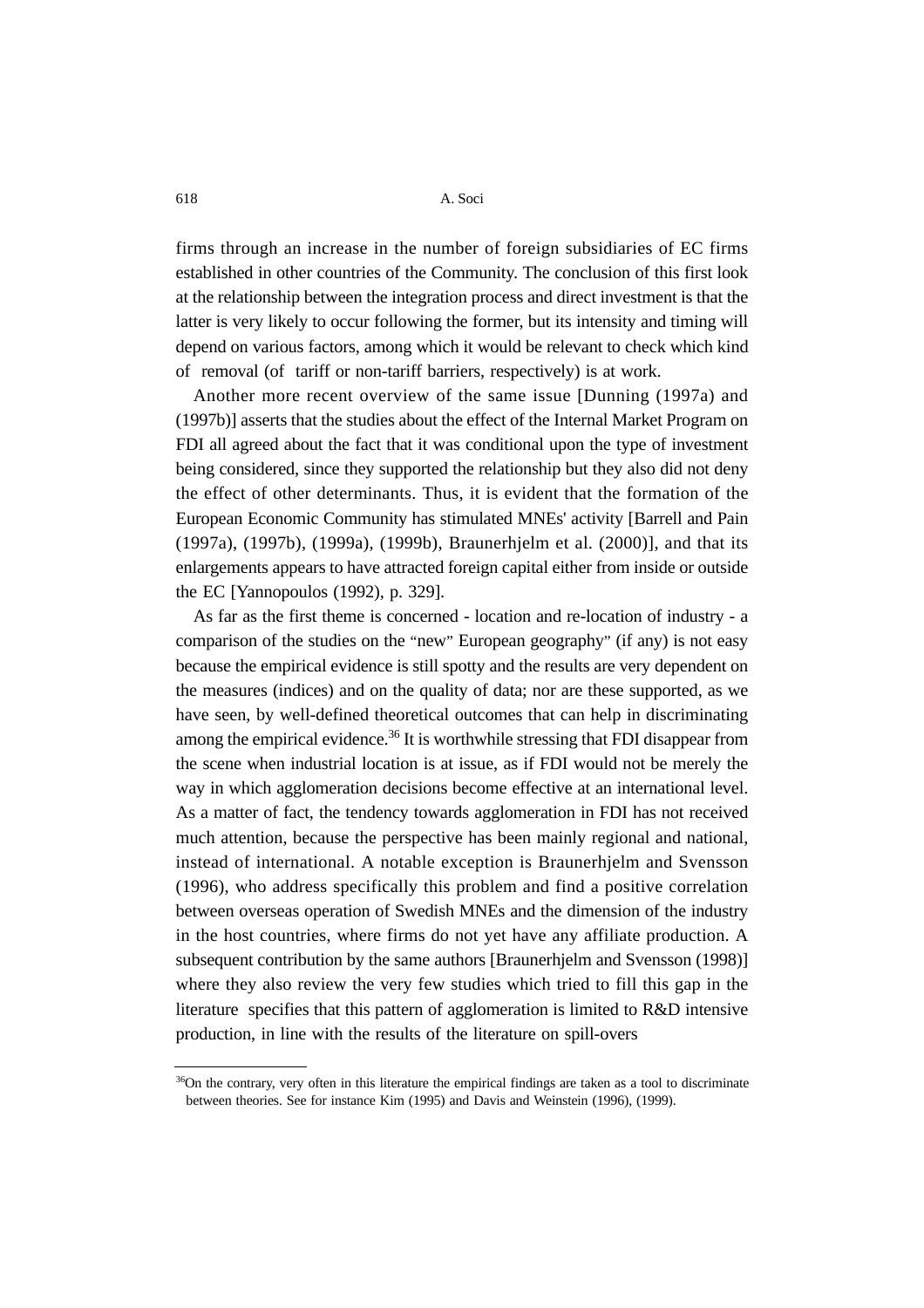#### 618 A. Soci

firms through an increase in the number of foreign subsidiaries of EC firms established in other countries of the Community. The conclusion of this first look at the relationship between the integration process and direct investment is that the latter is very likely to occur following the former, but its intensity and timing will depend on various factors, among which it would be relevant to check which kind of removal (of tariff or non-tariff barriers, respectively) is at work.

Another more recent overview of the same issue [Dunning (1997a) and (1997b)] asserts that the studies about the effect of the Internal Market Program on FDI all agreed about the fact that it was conditional upon the type of investment being considered, since they supported the relationship but they also did not deny the effect of other determinants. Thus, it is evident that the formation of the European Economic Community has stimulated MNEs' activity [Barrell and Pain (1997a), (1997b), (1999a), (1999b), Braunerhjelm et al. (2000)], and that its enlargements appears to have attracted foreign capital either from inside or outside the EC [Yannopoulos (1992), p. 329].

As far as the first theme is concerned - location and re-location of industry - a comparison of the studies on the "new" European geography" (if any) is not easy because the empirical evidence is still spotty and the results are very dependent on the measures (indices) and on the quality of data; nor are these supported, as we have seen, by well-defined theoretical outcomes that can help in discriminating among the empirical evidence.<sup>36</sup> It is worthwhile stressing that FDI disappear from the scene when industrial location is at issue, as if FDI would not be merely the way in which agglomeration decisions become effective at an international level. As a matter of fact, the tendency towards agglomeration in FDI has not received much attention, because the perspective has been mainly regional and national, instead of international. A notable exception is Braunerhjelm and Svensson (1996), who address specifically this problem and find a positive correlation between overseas operation of Swedish MNEs and the dimension of the industry in the host countries, where firms do not yet have any affiliate production. A subsequent contribution by the same authors [Braunerhjelm and Svensson (1998)] where they also review the very few studies which tried to fill this gap in the literature specifies that this pattern of agglomeration is limited to R&D intensive production, in line with the results of the literature on spill-overs

<sup>&</sup>lt;sup>36</sup>On the contrary, very often in this literature the empirical findings are taken as a tool to discriminate between theories. See for instance Kim (1995) and Davis and Weinstein (1996), (1999).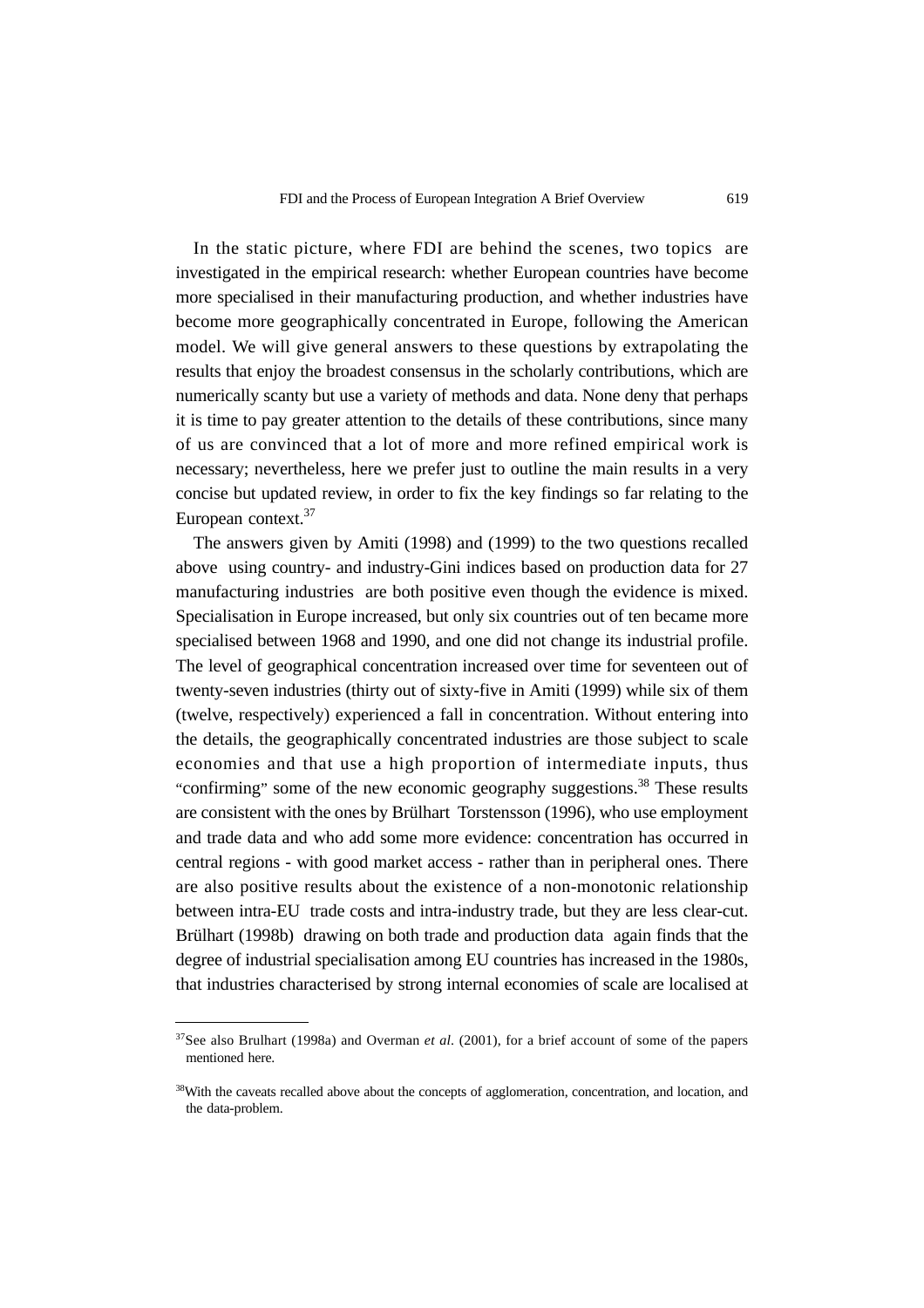In the static picture, where FDI are behind the scenes, two topics are investigated in the empirical research: whether European countries have become more specialised in their manufacturing production, and whether industries have become more geographically concentrated in Europe, following the American model. We will give general answers to these questions by extrapolating the results that enjoy the broadest consensus in the scholarly contributions, which are numerically scanty but use a variety of methods and data. None deny that perhaps it is time to pay greater attention to the details of these contributions, since many of us are convinced that a lot of more and more refined empirical work is necessary; nevertheless, here we prefer just to outline the main results in a very concise but updated review, in order to fix the key findings so far relating to the European context.37

The answers given by Amiti (1998) and (1999) to the two questions recalled above using country- and industry-Gini indices based on production data for 27 manufacturing industries are both positive even though the evidence is mixed. Specialisation in Europe increased, but only six countries out of ten became more specialised between 1968 and 1990, and one did not change its industrial profile. The level of geographical concentration increased over time for seventeen out of twenty-seven industries (thirty out of sixty-five in Amiti (1999) while six of them (twelve, respectively) experienced a fall in concentration. Without entering into the details, the geographically concentrated industries are those subject to scale economies and that use a high proportion of intermediate inputs, thus "confirming" some of the new economic geography suggestions.<sup>38</sup> These results are consistent with the ones by Brülhart Torstensson (1996), who use employment and trade data and who add some more evidence: concentration has occurred in central regions - with good market access - rather than in peripheral ones. There are also positive results about the existence of a non-monotonic relationship between intra-EU trade costs and intra-industry trade, but they are less clear-cut. Brülhart (1998b) drawing on both trade and production data again finds that the degree of industrial specialisation among EU countries has increased in the 1980s, that industries characterised by strong internal economies of scale are localised at

<sup>37</sup>See also Brulhart (1998a) and Overman *et al*. (2001), for a brief account of some of the papers mentioned here.

<sup>&</sup>lt;sup>38</sup>With the caveats recalled above about the concepts of agglomeration, concentration, and location, and the data-problem.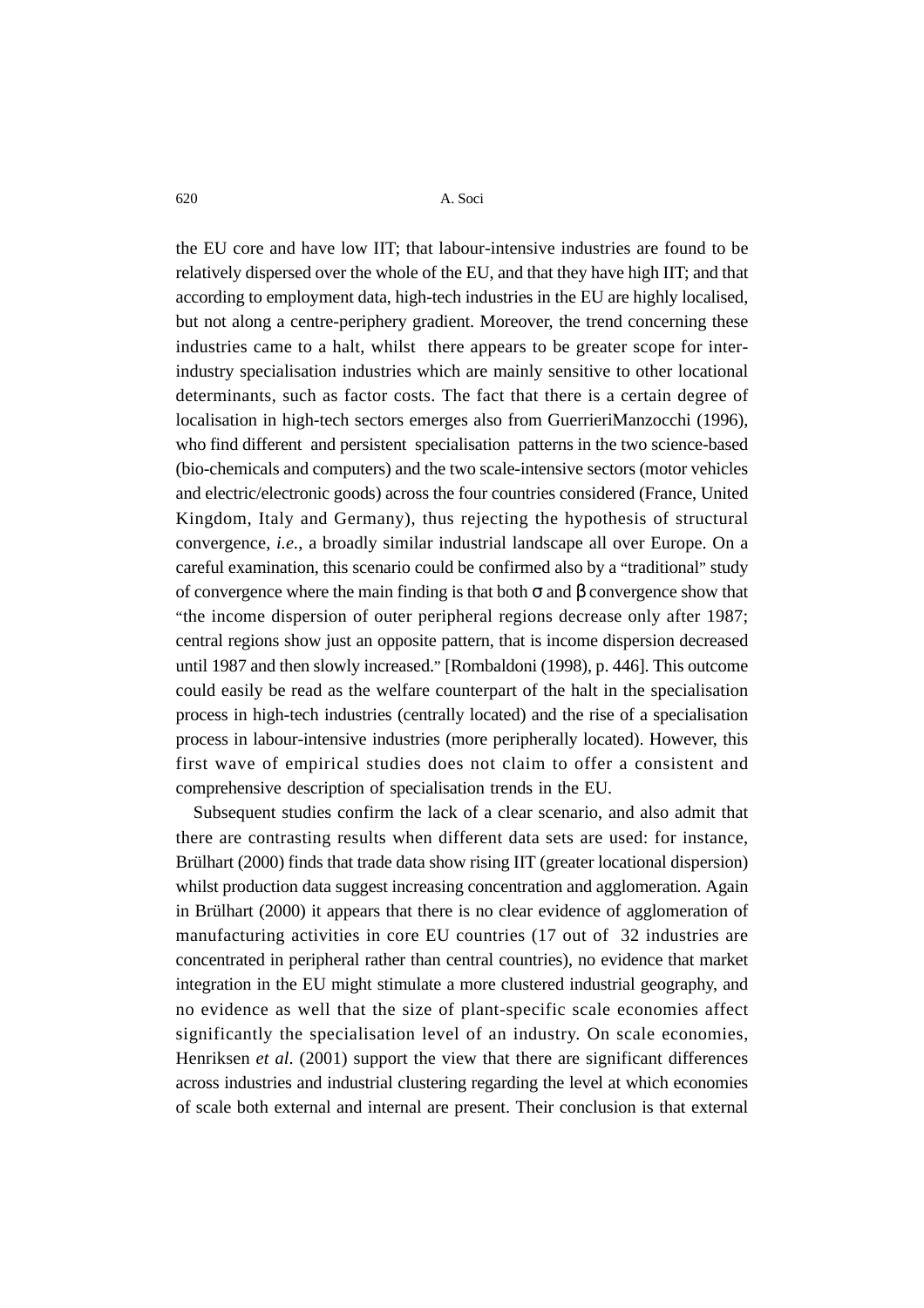the EU core and have low IIT; that labour-intensive industries are found to be relatively dispersed over the whole of the EU, and that they have high IIT; and that according to employment data, high-tech industries in the EU are highly localised, but not along a centre-periphery gradient. Moreover, the trend concerning these industries came to a halt, whilst there appears to be greater scope for interindustry specialisation industries which are mainly sensitive to other locational determinants, such as factor costs. The fact that there is a certain degree of localisation in high-tech sectors emerges also from GuerrieriManzocchi (1996), who find different and persistent specialisation patterns in the two science-based (bio-chemicals and computers) and the two scale-intensive sectors (motor vehicles and electric/electronic goods) across the four countries considered (France, United Kingdom, Italy and Germany), thus rejecting the hypothesis of structural convergence, *i.e.*, a broadly similar industrial landscape all over Europe. On a careful examination, this scenario could be confirmed also by a "traditional" study of convergence where the main finding is that both  $\sigma$  and  $\beta$  convergence show that "the income dispersion of outer peripheral regions decrease only after 1987; central regions show just an opposite pattern, that is income dispersion decreased until 1987 and then slowly increased." [Rombaldoni (1998), p. 446]. This outcome could easily be read as the welfare counterpart of the halt in the specialisation process in high-tech industries (centrally located) and the rise of a specialisation process in labour-intensive industries (more peripherally located). However, this first wave of empirical studies does not claim to offer a consistent and comprehensive description of specialisation trends in the EU.

Subsequent studies confirm the lack of a clear scenario, and also admit that there are contrasting results when different data sets are used: for instance, Brülhart (2000) finds that trade data show rising IIT (greater locational dispersion) whilst production data suggest increasing concentration and agglomeration. Again in Brülhart (2000) it appears that there is no clear evidence of agglomeration of manufacturing activities in core EU countries (17 out of 32 industries are concentrated in peripheral rather than central countries), no evidence that market integration in the EU might stimulate a more clustered industrial geography, and no evidence as well that the size of plant-specific scale economies affect significantly the specialisation level of an industry. On scale economies, Henriksen *et al*. (2001) support the view that there are significant differences across industries and industrial clustering regarding the level at which economies of scale both external and internal are present. Their conclusion is that external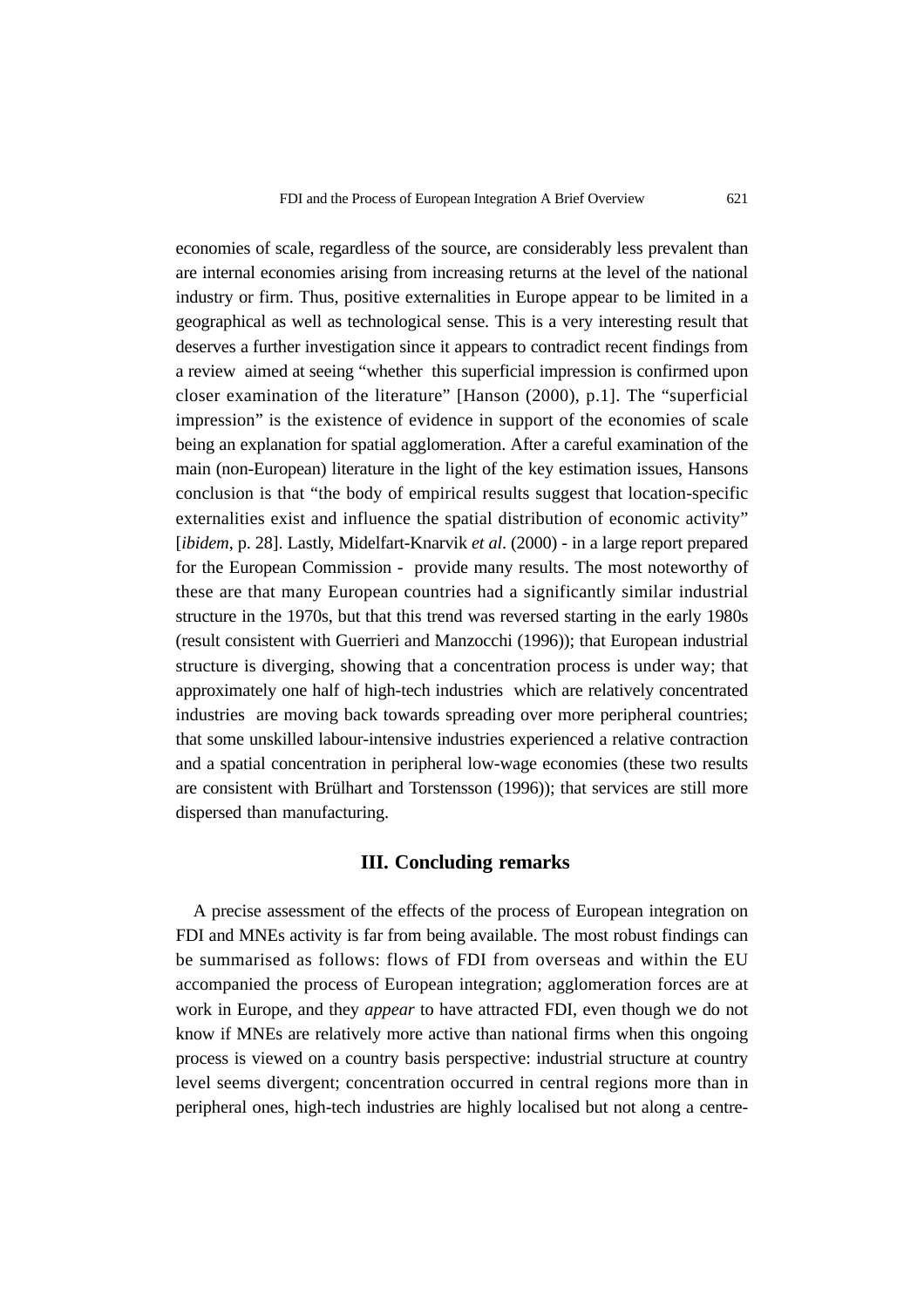economies of scale, regardless of the source, are considerably less prevalent than are internal economies arising from increasing returns at the level of the national industry or firm. Thus, positive externalities in Europe appear to be limited in a geographical as well as technological sense. This is a very interesting result that deserves a further investigation since it appears to contradict recent findings from a review aimed at seeing "whether this superficial impression is confirmed upon closer examination of the literature" [Hanson (2000), p.1]. The "superficial impression" is the existence of evidence in support of the economies of scale being an explanation for spatial agglomeration. After a careful examination of the main (non-European) literature in the light of the key estimation issues, Hansons conclusion is that "the body of empirical results suggest that location-specific externalities exist and influence the spatial distribution of economic activity" [*ibidem*, p. 28]. Lastly, Midelfart-Knarvik *et al*. (2000) - in a large report prepared for the European Commission - provide many results. The most noteworthy of these are that many European countries had a significantly similar industrial structure in the 1970s, but that this trend was reversed starting in the early 1980s (result consistent with Guerrieri and Manzocchi (1996)); that European industrial structure is diverging, showing that a concentration process is under way; that approximately one half of high-tech industries which are relatively concentrated industries are moving back towards spreading over more peripheral countries; that some unskilled labour-intensive industries experienced a relative contraction and a spatial concentration in peripheral low-wage economies (these two results are consistent with Brülhart and Torstensson (1996)); that services are still more dispersed than manufacturing.

# **III. Concluding remarks**

A precise assessment of the effects of the process of European integration on FDI and MNEs activity is far from being available. The most robust findings can be summarised as follows: flows of FDI from overseas and within the EU accompanied the process of European integration; agglomeration forces are at work in Europe, and they *appear* to have attracted FDI, even though we do not know if MNEs are relatively more active than national firms when this ongoing process is viewed on a country basis perspective: industrial structure at country level seems divergent; concentration occurred in central regions more than in peripheral ones, high-tech industries are highly localised but not along a centre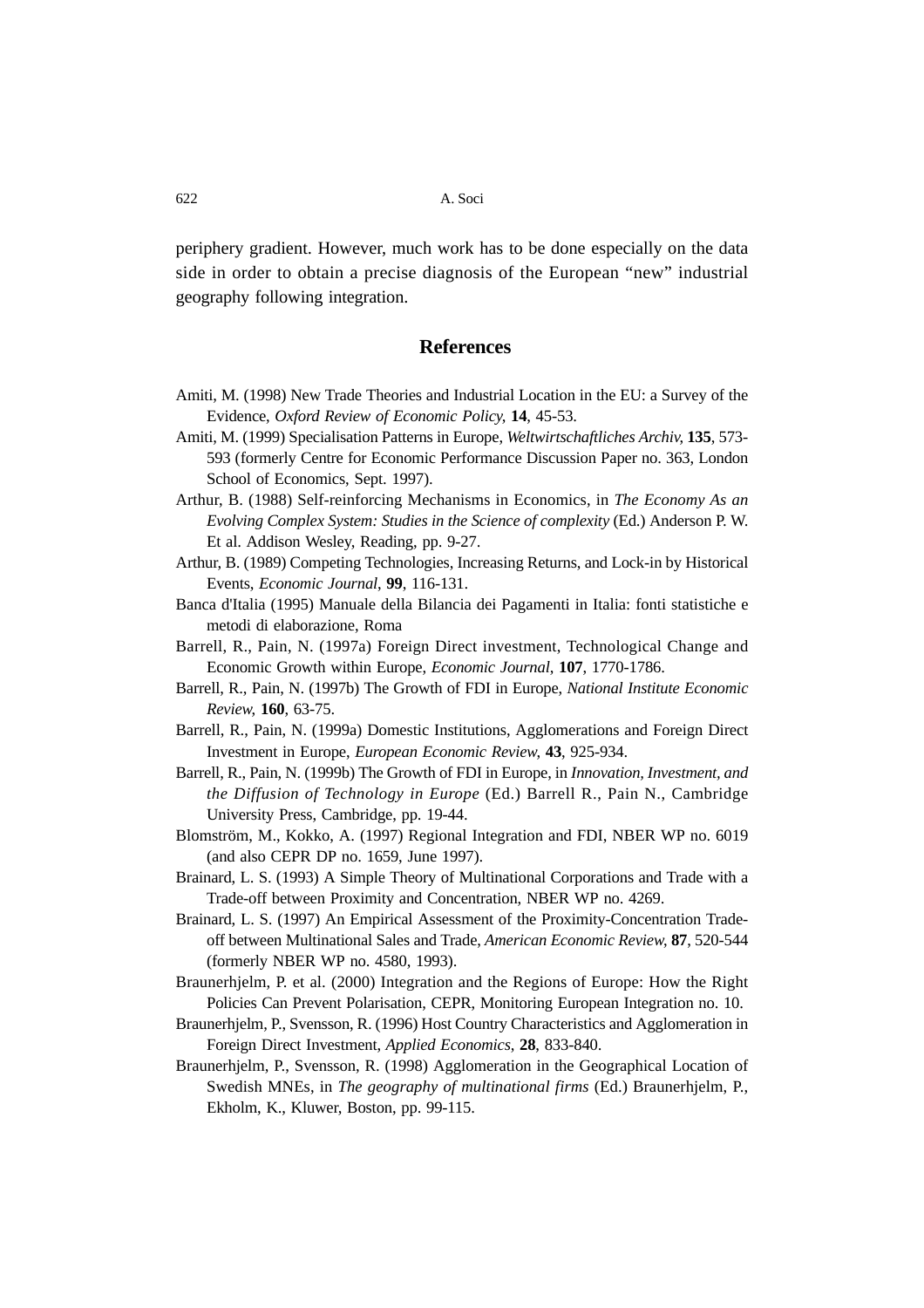periphery gradient. However, much work has to be done especially on the data side in order to obtain a precise diagnosis of the European "new" industrial geography following integration.

### **References**

- Amiti, M. (1998) New Trade Theories and Industrial Location in the EU: a Survey of the Evidence, *Oxford Review of Economic Policy*, **14**, 45-53.
- Amiti, M. (1999) Specialisation Patterns in Europe, *Weltwirtschaftliches Archiv*, **135**, 573- 593 (formerly Centre for Economic Performance Discussion Paper no. 363, London School of Economics, Sept. 1997).
- Arthur, B. (1988) Self-reinforcing Mechanisms in Economics, in *The Economy As an Evolving Complex System: Studies in the Science of complexity* (Ed.) Anderson P. W. Et al. Addison Wesley, Reading, pp. 9-27.
- Arthur, B. (1989) Competing Technologies, Increasing Returns, and Lock-in by Historical Events, *Economic Journal*, **99**, 116-131.
- Banca d'Italia (1995) Manuale della Bilancia dei Pagamenti in Italia: fonti statistiche e metodi di elaborazione, Roma
- Barrell, R., Pain, N. (1997a) Foreign Direct investment, Technological Change and Economic Growth within Europe, *Economic Journal*, **107**, 1770-1786.
- Barrell, R., Pain, N. (1997b) The Growth of FDI in Europe, *National Institute Economic Review*, **160**, 63-75.
- Barrell, R., Pain, N. (1999a) Domestic Institutions, Agglomerations and Foreign Direct Investment in Europe, *European Economic Review*, **43**, 925-934.
- Barrell, R., Pain, N. (1999b) The Growth of FDI in Europe, in *Innovation, Investment, and the Diffusion of Technology in Europe* (Ed.) Barrell R., Pain N., Cambridge University Press, Cambridge, pp. 19-44.
- Blomström, M., Kokko, A. (1997) Regional Integration and FDI, NBER WP no. 6019 (and also CEPR DP no. 1659, June 1997).
- Brainard, L. S. (1993) A Simple Theory of Multinational Corporations and Trade with a Trade-off between Proximity and Concentration, NBER WP no. 4269.
- Brainard, L. S. (1997) An Empirical Assessment of the Proximity-Concentration Tradeoff between Multinational Sales and Trade, *American Economic Review*, **87**, 520-544 (formerly NBER WP no. 4580, 1993).
- Braunerhjelm, P. et al. (2000) Integration and the Regions of Europe: How the Right Policies Can Prevent Polarisation, CEPR, Monitoring European Integration no. 10.
- Braunerhjelm, P., Svensson, R. (1996) Host Country Characteristics and Agglomeration in Foreign Direct Investment, *Applied Economics*, **28**, 833-840.
- Braunerhjelm, P., Svensson, R. (1998) Agglomeration in the Geographical Location of Swedish MNEs, in *The geography of multinational firms* (Ed.) Braunerhjelm, P., Ekholm, K., Kluwer, Boston, pp. 99-115.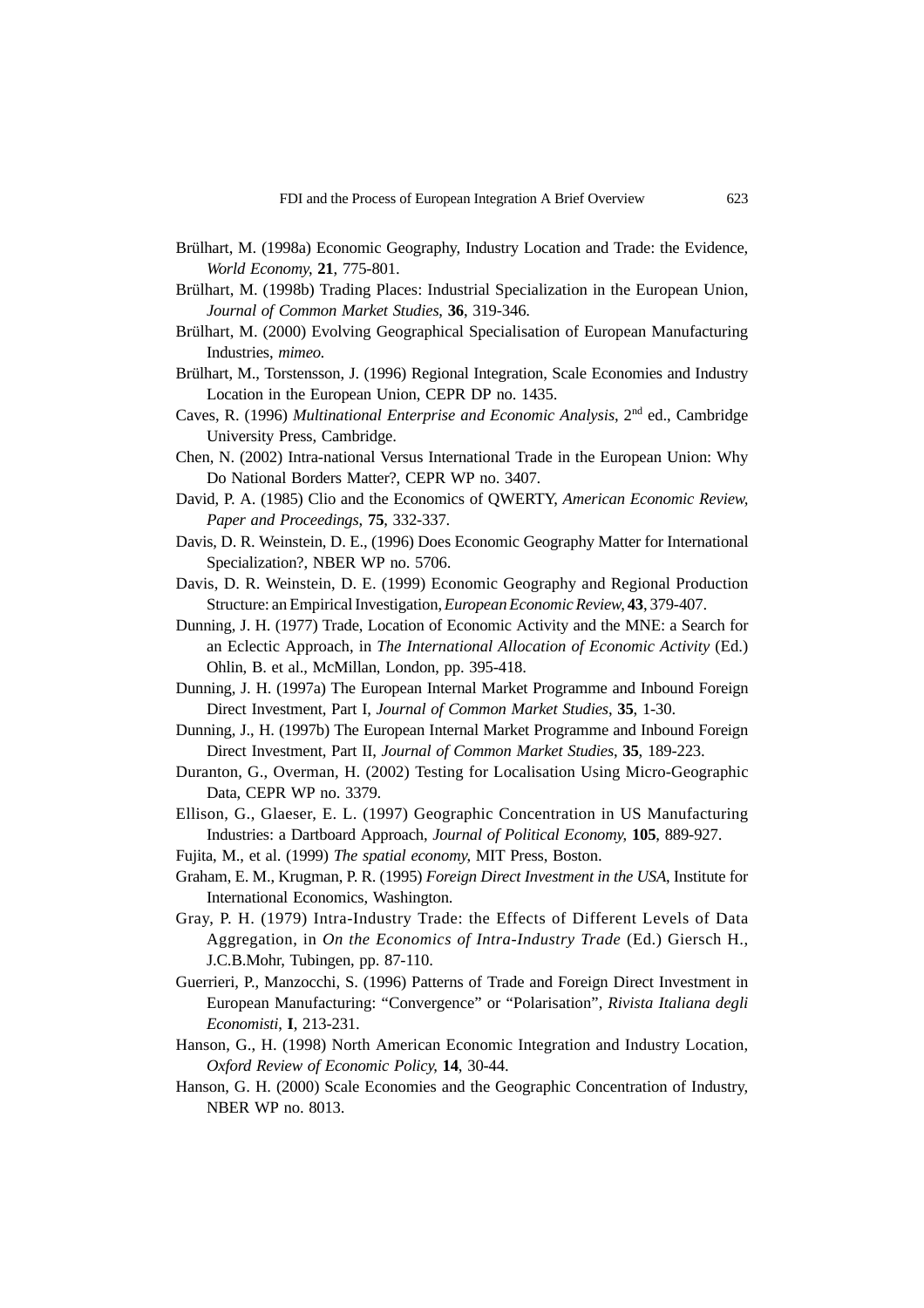- Brülhart, M. (1998a) Economic Geography, Industry Location and Trade: the Evidence, *World Economy*, **21**, 775-801.
- Brülhart, M. (1998b) Trading Places: Industrial Specialization in the European Union, *Journal of Common Market Studies*, **36**, 319-346.
- Brülhart, M. (2000) Evolving Geographical Specialisation of European Manufacturing Industries, *mimeo.*
- Brülhart, M., Torstensson, J. (1996) Regional Integration, Scale Economies and Industry Location in the European Union, CEPR DP no. 1435.
- Caves, R. (1996) *Multinational Enterprise and Economic Analysis*, 2nd ed., Cambridge University Press, Cambridge.
- Chen, N. (2002) Intra-national Versus International Trade in the European Union: Why Do National Borders Matter?, CEPR WP no. 3407.
- David, P. A. (1985) Clio and the Economics of QWERTY, *American Economic Review, Paper and Proceedings*, **75**, 332-337.
- Davis, D. R. Weinstein, D. E., (1996) Does Economic Geography Matter for International Specialization?, NBER WP no. 5706.
- Davis, D. R. Weinstein, D. E. (1999) Economic Geography and Regional Production Structure: an Empirical Investigation, *European Economic Review*, **43**, 379-407.
- Dunning, J. H. (1977) Trade, Location of Economic Activity and the MNE: a Search for an Eclectic Approach, in *The International Allocation of Economic Activity* (Ed.) Ohlin, B. et al., McMillan, London, pp. 395-418.
- Dunning, J. H. (1997a) The European Internal Market Programme and Inbound Foreign Direct Investment, Part I, *Journal of Common Market Studies*, **35**, 1-30.
- Dunning, J., H. (1997b) The European Internal Market Programme and Inbound Foreign Direct Investment, Part II, *Journal of Common Market Studies*, **35**, 189-223.
- Duranton, G., Overman, H. (2002) Testing for Localisation Using Micro-Geographic Data, CEPR WP no. 3379.
- Ellison, G., Glaeser, E. L. (1997) Geographic Concentration in US Manufacturing Industries: a Dartboard Approach, *Journal of Political Economy*, **105**, 889-927.
- Fujita, M., et al. (1999) *The spatial economy*, MIT Press, Boston.
- Graham, E. M., Krugman, P. R. (1995) *Foreign Direct Investment in the USA*, Institute for International Economics, Washington.
- Gray, P. H. (1979) Intra-Industry Trade: the Effects of Different Levels of Data Aggregation, in *On the Economics of Intra-Industry Trade* (Ed.) Giersch H., J.C.B.Mohr, Tubingen, pp. 87-110.
- Guerrieri, P., Manzocchi, S. (1996) Patterns of Trade and Foreign Direct Investment in European Manufacturing: "Convergence" or "Polarisation", *Rivista Italiana degli Economisti*, **I**, 213-231.
- Hanson, G., H. (1998) North American Economic Integration and Industry Location, *Oxford Review of Economic Policy*, **14**, 30-44.
- Hanson, G. H. (2000) Scale Economies and the Geographic Concentration of Industry, NBER WP no. 8013.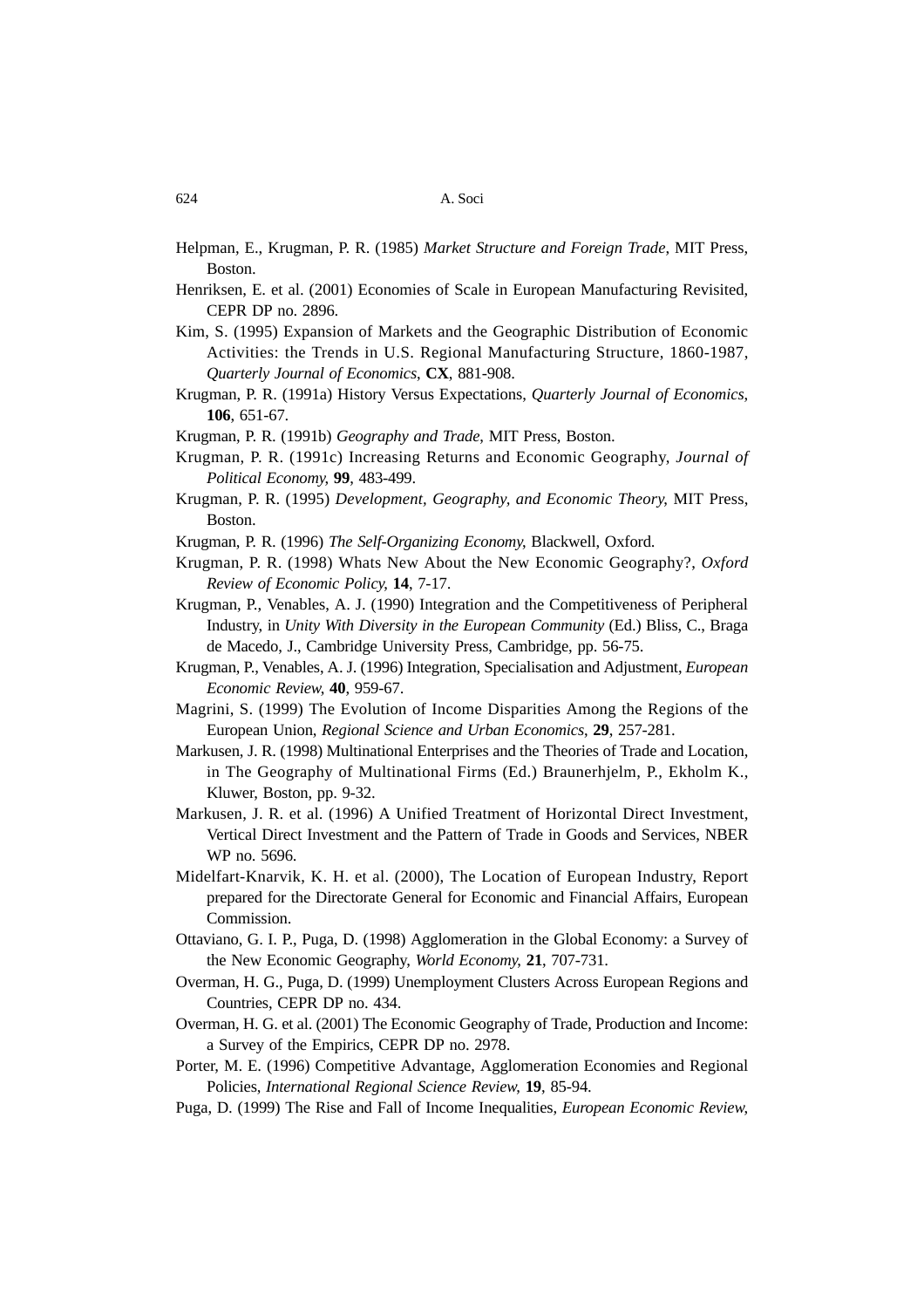- Helpman, E., Krugman, P. R. (1985) *Market Structure and Foreign Trade*, MIT Press, Boston.
- Henriksen, E. et al. (2001) Economies of Scale in European Manufacturing Revisited, CEPR DP no. 2896.
- Kim, S. (1995) Expansion of Markets and the Geographic Distribution of Economic Activities: the Trends in U.S. Regional Manufacturing Structure, 1860-1987, *Quarterly Journal of Economics*, **CX**, 881-908.
- Krugman, P. R. (1991a) History Versus Expectations, *Quarterly Journal of Economics*, **106**, 651-67.
- Krugman, P. R. (1991b) *Geography and Trade*, MIT Press, Boston.
- Krugman, P. R. (1991c) Increasing Returns and Economic Geography, *Journal of Political Economy*, **99**, 483-499.
- Krugman, P. R. (1995) *Development, Geography, and Economic Theory*, MIT Press, Boston.
- Krugman, P. R. (1996) *The Self-Organizing Economy*, Blackwell, Oxford.
- Krugman, P. R. (1998) Whats New About the New Economic Geography?, *Oxford Review of Economic Policy*, **14**, 7-17.
- Krugman, P., Venables, A. J. (1990) Integration and the Competitiveness of Peripheral Industry, in *Unity With Diversity in the European Community* (Ed.) Bliss, C., Braga de Macedo, J., Cambridge University Press, Cambridge, pp. 56-75.
- Krugman, P., Venables, A. J. (1996) Integration, Specialisation and Adjustment, *European Economic Review*, **40**, 959-67.
- Magrini, S. (1999) The Evolution of Income Disparities Among the Regions of the European Union, *Regional Science and Urban Economics*, **29**, 257-281.
- Markusen, J. R. (1998) Multinational Enterprises and the Theories of Trade and Location, in The Geography of Multinational Firms (Ed.) Braunerhjelm, P., Ekholm K., Kluwer, Boston, pp. 9-32.
- Markusen, J. R. et al. (1996) A Unified Treatment of Horizontal Direct Investment, Vertical Direct Investment and the Pattern of Trade in Goods and Services, NBER WP no. 5696.
- Midelfart-Knarvik, K. H. et al. (2000), The Location of European Industry, Report prepared for the Directorate General for Economic and Financial Affairs, European Commission.
- Ottaviano, G. I. P., Puga, D. (1998) Agglomeration in the Global Economy: a Survey of the New Economic Geography, *World Economy*, **21**, 707-731.
- Overman, H. G., Puga, D. (1999) Unemployment Clusters Across European Regions and Countries, CEPR DP no. 434.
- Overman, H. G. et al. (2001) The Economic Geography of Trade, Production and Income: a Survey of the Empirics, CEPR DP no. 2978.
- Porter, M. E. (1996) Competitive Advantage, Agglomeration Economies and Regional Policies, *International Regional Science Review*, **19**, 85-94.
- Puga, D. (1999) The Rise and Fall of Income Inequalities, *European Economic Review*,